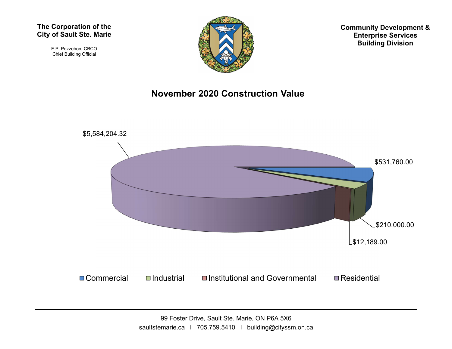F.P. Pozzebon, CBCO Chief Building Official



Community Development & Enterprise Services Building Division

## November 2020 Construction Value

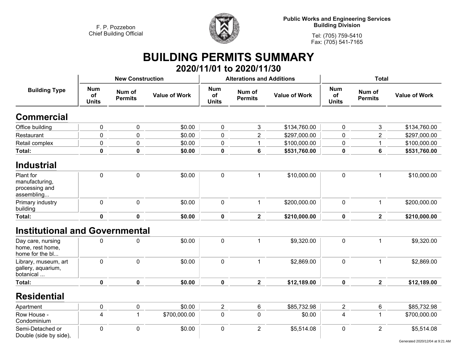

**Public Works and Engineering Services Building Division**

**Tel: (705) 759-5410 Fax: (705) 541-7165**

## **BUILDING PERMITS SUMMARY**

|                                                             |                                                              |                         |                      |                                                              | 2020/11/01 to 2020/11/30         |                      |                                  |                          |                      |
|-------------------------------------------------------------|--------------------------------------------------------------|-------------------------|----------------------|--------------------------------------------------------------|----------------------------------|----------------------|----------------------------------|--------------------------|----------------------|
|                                                             |                                                              | <b>New Construction</b> |                      |                                                              | <b>Alterations and Additions</b> |                      | <b>Total</b>                     |                          |                      |
| <b>Building Type</b>                                        | <b>Num</b><br>Num of<br>of<br><b>Permits</b><br><b>Units</b> |                         | <b>Value of Work</b> | <b>Num</b><br>Num of<br>of<br><b>Permits</b><br><b>Units</b> |                                  | <b>Value of Work</b> | <b>Num</b><br>of<br><b>Units</b> | Num of<br><b>Permits</b> | <b>Value of Work</b> |
| <b>Commercial</b>                                           |                                                              |                         |                      |                                                              |                                  |                      |                                  |                          |                      |
| Office building                                             | $\pmb{0}$                                                    | $\pmb{0}$               | \$0.00               | $\pmb{0}$                                                    | 3                                | \$134,760.00         | $\pmb{0}$                        | 3                        | \$134,760.00         |
| Restaurant                                                  | 0                                                            | 0                       | \$0.00               | 0                                                            | $\overline{2}$                   | \$297,000.00         | 0                                | $\overline{2}$           | \$297,000.00         |
| Retail complex                                              | 0                                                            | 0                       | \$0.00               | $\pmb{0}$                                                    | 1                                | \$100,000.00         | 0                                | $\mathbf{1}$             | \$100,000.00         |
| <b>Total:</b>                                               | $\mathbf 0$                                                  | 0                       | \$0.00               | $\mathbf 0$                                                  | 6                                | \$531,760.00         | 0                                | 6                        | \$531,760.00         |
| <b>Industrial</b>                                           |                                                              |                         |                      |                                                              |                                  |                      |                                  |                          |                      |
| Plant for<br>manufacturing,<br>processing and<br>assembling | 0                                                            | $\mathbf 0$             | \$0.00               | $\mathbf 0$                                                  | $\mathbf 1$                      | \$10,000.00          | $\pmb{0}$                        | 1                        | \$10,000.00          |
| Primary industry<br>building                                | $\mathbf 0$                                                  | $\mathbf 0$             | \$0.00               | $\mathbf 0$                                                  | $\mathbf{1}$                     | \$200,000.00         | $\mathbf 0$                      | $\mathbf{1}$             | \$200,000.00         |
| Total:                                                      | $\mathbf 0$                                                  | $\mathbf 0$             | \$0.00               | $\mathbf 0$                                                  | $\overline{\mathbf{2}}$          | \$210,000.00         | $\mathbf 0$                      | $\overline{2}$           | \$210,000.00         |
| <b>Institutional and Governmental</b>                       |                                                              |                         |                      |                                                              |                                  |                      |                                  |                          |                      |
| Day care, nursing<br>home, rest home,<br>home for the bl    | 0                                                            | 0                       | \$0.00               | $\pmb{0}$                                                    | $\mathbf 1$                      | \$9,320.00           | $\pmb{0}$                        | 1                        | \$9,320.00           |
| Library, museum, art<br>gallery, aquarium,<br>botanical     | $\mathbf 0$                                                  | $\mathbf 0$             | \$0.00               | $\mathbf 0$                                                  | $\mathbf{1}$                     | \$2,869.00           | 0                                | $\mathbf{1}$             | \$2,869.00           |
| Total:                                                      | 0                                                            | $\mathbf 0$             | \$0.00               | $\mathbf 0$                                                  | $\overline{\mathbf{2}}$          | \$12,189.00          | $\mathbf 0$                      | $\overline{\mathbf{2}}$  | \$12,189.00          |
| <b>Residential</b>                                          |                                                              |                         |                      |                                                              |                                  |                      |                                  |                          |                      |
| Apartment                                                   | 0                                                            | $\pmb{0}$               | \$0.00               | $\overline{2}$                                               | 6                                | \$85,732.98          | $\overline{2}$                   | $\,6$                    | \$85,732.98          |
| Row House -<br>Condominium                                  | 4                                                            | 1                       | \$700,000.00         | $\mathbf 0$                                                  | 0                                | \$0.00               | 4                                | $\mathbf 1$              | \$700,000.00         |
| Semi-Detached or<br>Double (side by side),                  | 0                                                            | $\mathbf 0$             | \$0.00               | $\mathbf 0$                                                  | $\overline{2}$                   | \$5,514.08           | 0                                | $\overline{2}$           | \$5,514.08           |

Generated 2020/12/04 at 9:21 AM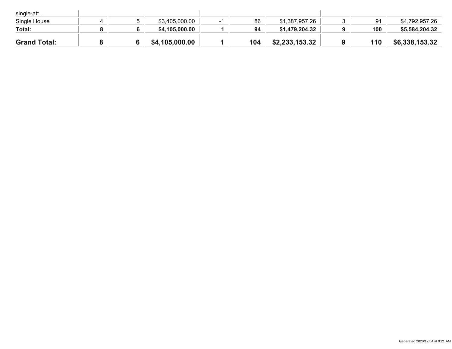| single-att          |  |                |     |                |     |                |
|---------------------|--|----------------|-----|----------------|-----|----------------|
| Single House        |  | \$3,405,000.00 | 86  | \$1,387,957.26 | 91  | \$4,792,957.26 |
| Total:              |  | \$4,105,000.00 | 94  | \$1,479,204.32 | 100 | \$5,584,204.32 |
| <b>Grand Total:</b> |  | \$4,105,000.00 | 104 | \$2,233,153.32 | 110 | \$6,338,153.32 |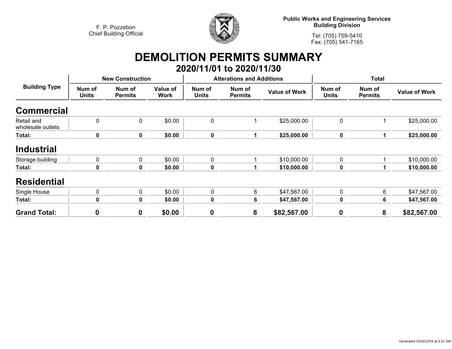

**Public Works and Engineering Services Building Division**

**Tel: (705) 759-5410Fax: (705) 541-7165**

## **DEMOLITION PERMITS SUMMARY**

|                                 |                 |                          |                         |                        | 2020/11/01 to 2020/11/30         |                      |                        |                          |                      |
|---------------------------------|-----------------|--------------------------|-------------------------|------------------------|----------------------------------|----------------------|------------------------|--------------------------|----------------------|
|                                 |                 | <b>New Construction</b>  |                         |                        | <b>Alterations and Additions</b> |                      | <b>Total</b>           |                          |                      |
| <b>Building Type</b>            | Num of<br>Units | Num of<br><b>Permits</b> | Value of<br><b>Work</b> | Num of<br><b>Units</b> | Num of<br><b>Permits</b>         | <b>Value of Work</b> | Num of<br><b>Units</b> | Num of<br><b>Permits</b> | <b>Value of Work</b> |
| <b>Commercial</b>               |                 |                          |                         |                        |                                  |                      |                        |                          |                      |
| Retail and<br>wholesale outlets | $\mathbf 0$     | $\mathbf 0$              | \$0.00                  | $\mathbf 0$            |                                  | \$25,000.00          | $\mathbf 0$            |                          | \$25,000.00          |
| Total:                          | 0               | $\mathbf 0$              | \$0.00                  | $\mathbf 0$            | 1.                               | \$25,000.00          | 0                      | 1                        | \$25,000.00          |
| <b>Industrial</b>               |                 |                          |                         |                        |                                  |                      |                        |                          |                      |
| Storage building                | 0               | 0                        | \$0.00                  | 0                      |                                  | \$10,000.00          | 0                      |                          | \$10,000.00          |
| Total:                          | 0               | 0                        | \$0.00                  | $\mathbf 0$            |                                  | \$10,000.00          | 0                      |                          | \$10,000.00          |
| <b>Residential</b>              |                 |                          |                         |                        |                                  |                      |                        |                          |                      |
| Single House                    | 0               | 0                        | \$0.00                  | 0                      | 6                                | \$47,567.00          | $\mathbf 0$            | 6                        | \$47,567.00          |
| Total:                          | 0               | 0                        | \$0.00                  | $\mathbf 0$            | 6                                | \$47,567.00          | 0                      | 6                        | \$47,567.00          |
| <b>Grand Total:</b>             | $\mathbf 0$     | $\mathbf 0$              | \$0.00                  | $\boldsymbol{0}$       | 8                                | \$82,567.00          | 0                      | 8                        | \$82,567.00          |